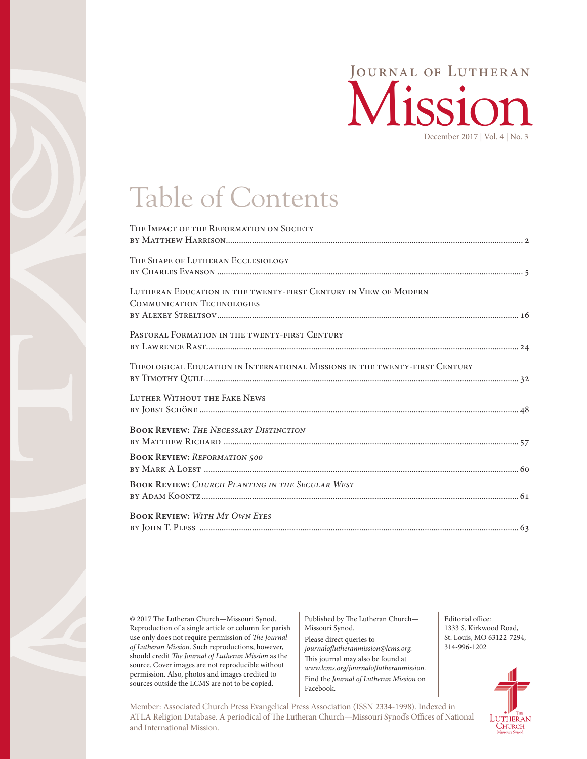

# Table of Contents

| THE IMPACT OF THE REFORMATION ON SOCIETY                                                              |
|-------------------------------------------------------------------------------------------------------|
| THE SHAPE OF LUTHERAN ECCLESIOLOGY                                                                    |
| LUTHERAN EDUCATION IN THE TWENTY-FIRST CENTURY IN VIEW OF MODERN<br><b>COMMUNICATION TECHNOLOGIES</b> |
| PASTORAL FORMATION IN THE TWENTY-FIRST CENTURY                                                        |
| THEOLOGICAL EDUCATION IN INTERNATIONAL MISSIONS IN THE TWENTY-FIRST CENTURY                           |
| LUTHER WITHOUT THE FAKE NEWS                                                                          |
| <b>BOOK REVIEW: THE NECESSARY DISTINCTION</b>                                                         |
| <b>BOOK REVIEW: REFORMATION 500</b>                                                                   |
| <b>BOOK REVIEW: CHURCH PLANTING IN THE SECULAR WEST</b>                                               |
| <b>BOOK REVIEW: WITH MY OWN EYES</b>                                                                  |
|                                                                                                       |

© 2017 The Lutheran Church—Missouri Synod. Reproduction of a single article or column for parish use only does not require permission of *The Journal of Lutheran Mission*. Such reproductions, however, should credit *The Journal of Lutheran Mission* as the source. Cover images are not reproducible without permission. Also, photos and images credited to sources outside the LCMS are not to be copied.

Published by The Lutheran Church— Missouri Synod. Please direct queries to *journaloflutheranmission@lcms.org.* This journal may also be found at *www.lcms.org/journaloflutheranmission.* Find the *Journal of Lutheran Mission* on Facebook.

Editorial office: 1333 S. Kirkwood Road, St. Louis, MO 63122-7294,

314-996-1202

Member: Associated Church Press Evangelical Press Association (ISSN 2334-1998). Indexed in ATLA Religion Database. A periodical of The Lutheran Church—Missouri Synod's Offices of National and International Mission.

LUTHERAN **CHURCH**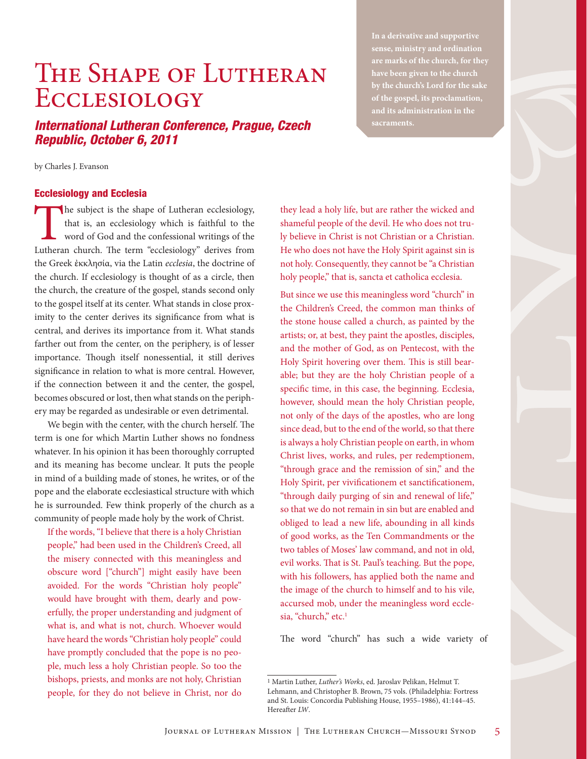## THE SHAPE OF LUTHERAN **ECCLESIOLOGY**

### *International Lutheran Conference, Prague, Czech Republic, October 6, 2011*

**In a derivative and supportive sense, ministry and ordination are marks of the church, for they have been given to the church by the church's Lord for the sake of the gospel, its proclamation, and its administration in the sacraments.**

by Charles J. Evanson

#### Ecclesiology and Ecclesia

The subject is the shape of Lutheran ecclesiology,<br>that is, an ecclesiology which is faithful to the<br>word of God and the confessional writings of the<br>Lutheran church. The term "ecclesiology" derives from that is, an ecclesiology which is faithful to the word of God and the confessional writings of the Lutheran church. The term "ecclesiology" derives from the Greek ἐκκλησία, via the Latin *ecclesia*, the doctrine of the church. If ecclesiology is thought of as a circle, then the church, the creature of the gospel, stands second only to the gospel itself at its center. What stands in close proximity to the center derives its significance from what is central, and derives its importance from it. What stands farther out from the center, on the periphery, is of lesser importance. Though itself nonessential, it still derives significance in relation to what is more central. However, if the connection between it and the center, the gospel, becomes obscured or lost, then what stands on the periphery may be regarded as undesirable or even detrimental.

We begin with the center, with the church herself. The term is one for which Martin Luther shows no fondness whatever. In his opinion it has been thoroughly corrupted and its meaning has become unclear. It puts the people in mind of a building made of stones, he writes, or of the pope and the elaborate ecclesiastical structure with which he is surrounded. Few think properly of the church as a community of people made holy by the work of Christ.

If the words, "I believe that there is a holy Christian people," had been used in the Children's Creed, all the misery connected with this meaningless and obscure word ["church"] might easily have been avoided. For the words "Christian holy people" would have brought with them, dearly and powerfully, the proper understanding and judgment of what is, and what is not, church. Whoever would have heard the words "Christian holy people" could have promptly concluded that the pope is no people, much less a holy Christian people. So too the bishops, priests, and monks are not holy, Christian people, for they do not believe in Christ, nor do

they lead a holy life, but are rather the wicked and shameful people of the devil. He who does not truly believe in Christ is not Christian or a Christian. He who does not have the Holy Spirit against sin is not holy. Consequently, they cannot be "a Christian holy people," that is, sancta et catholica ecclesia.

But since we use this meaningless word "church" in the Children's Creed, the common man thinks of the stone house called a church, as painted by the artists; or, at best, they paint the apostles, disciples, and the mother of God, as on Pentecost, with the Holy Spirit hovering over them. This is still bearable; but they are the holy Christian people of a specific time, in this case, the beginning. Ecclesia, however, should mean the holy Christian people, not only of the days of the apostles, who are long since dead, but to the end of the world, so that there is always a holy Christian people on earth, in whom Christ lives, works, and rules, per redemptionem, "through grace and the remission of sin," and the Holy Spirit, per vivificationem et sanctificationem, "through daily purging of sin and renewal of life," so that we do not remain in sin but are enabled and obliged to lead a new life, abounding in all kinds of good works, as the Ten Commandments or the two tables of Moses' law command, and not in old, evil works. That is St. Paul's teaching. But the pope, with his followers, has applied both the name and the image of the church to himself and to his vile, accursed mob, under the meaningless word ecclesia, "church," etc.<sup>1</sup>

The word "church" has such a wide variety of

<sup>1</sup> Martin Luther, *Luther's Works*, ed. Jaroslav Pelikan, Helmut T. Lehmann, and Christopher B. Brown, 75 vols. (Philadelphia: Fortress and St. Louis: Concordia Publishing House, 1955–1986), 41:144–45. Hereafter *LW*.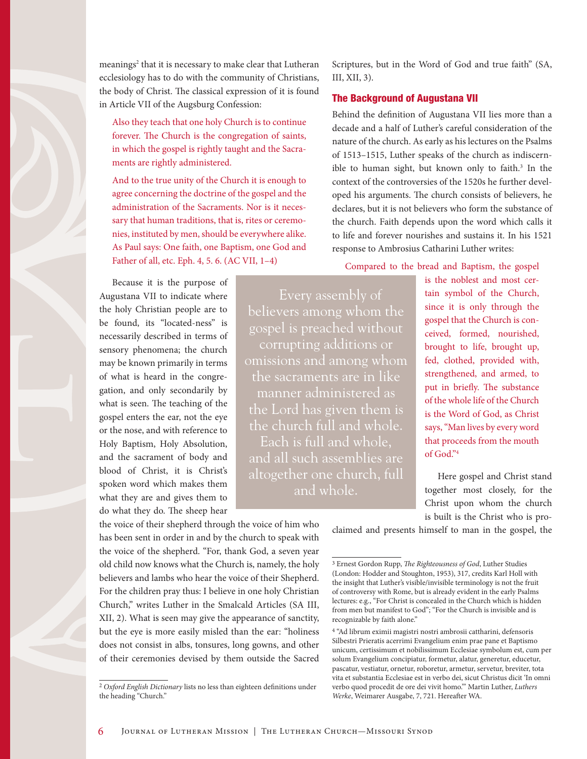meanings<sup>2</sup> that it is necessary to make clear that Lutheran ecclesiology has to do with the community of Christians, the body of Christ. The classical expression of it is found in Article VII of the Augsburg Confession:

Also they teach that one holy Church is to continue forever. The Church is the congregation of saints, in which the gospel is rightly taught and the Sacraments are rightly administered.

And to the true unity of the Church it is enough to agree concerning the doctrine of the gospel and the administration of the Sacraments. Nor is it necessary that human traditions, that is, rites or ceremonies, instituted by men, should be everywhere alike. As Paul says: One faith, one Baptism, one God and Father of all, etc. Eph. 4, 5. 6. (AC VII, 1–4)

Because it is the purpose of Augustana VII to indicate where the holy Christian people are to be found, its "located-ness" is necessarily described in terms of sensory phenomena; the church may be known primarily in terms of what is heard in the congregation, and only secondarily by what is seen. The teaching of the gospel enters the ear, not the eye or the nose, and with reference to Holy Baptism, Holy Absolution, and the sacrament of body and blood of Christ, it is Christ's spoken word which makes them what they are and gives them to do what they do. The sheep hear

the voice of their shepherd through the voice of him who has been sent in order in and by the church to speak with the voice of the shepherd. "For, thank God, a seven year old child now knows what the Church is, namely, the holy believers and lambs who hear the voice of their Shepherd. For the children pray thus: I believe in one holy Christian Church," writes Luther in the Smalcald Articles (SA III, XII, 2). What is seen may give the appearance of sanctity, but the eye is more easily misled than the ear: "holiness does not consist in albs, tonsures, long gowns, and other of their ceremonies devised by them outside the Sacred Scriptures, but in the Word of God and true faith" (SA, III, XII, 3).

#### The Background of Augustana VII

Behind the definition of Augustana VII lies more than a decade and a half of Luther's careful consideration of the nature of the church. As early as his lectures on the Psalms of 1513–1515, Luther speaks of the church as indiscernible to human sight, but known only to faith.<sup>3</sup> In the context of the controversies of the 1520s he further developed his arguments. The church consists of believers, he declares, but it is not believers who form the substance of the church. Faith depends upon the word which calls it to life and forever nourishes and sustains it. In his 1521 response to Ambrosius Catharini Luther writes:

Compared to the bread and Baptism, the gospel

Every assembly of believers among whom the gospel is preached without corrupting additions or omissions and among whom the sacraments are in like manner administered as the Lord has given them is the church full and whole. Each is full and whole, and all such assemblies are altogether one church, full and whole.

is the noblest and most certain symbol of the Church, since it is only through the gospel that the Church is conceived, formed, nourished, brought to life, brought up, fed, clothed, provided with, strengthened, and armed, to put in briefly. The substance of the whole life of the Church is the Word of God, as Christ says, "Man lives by every word that proceeds from the mouth of God."4

Here gospel and Christ stand together most closely, for the Christ upon whom the church is built is the Christ who is pro-

claimed and presents himself to man in the gospel, the

<sup>2</sup> *Oxford English Dictionary* lists no less than eighteen definitions under the heading "Church."

<sup>3</sup> Ernest Gordon Rupp, *The Righteousness of God*, Luther Studies (London: Hodder and Stoughton, 1953), 317, credits Karl Holl with the insight that Luther's visible/invisible terminology is not the fruit of controversy with Rome, but is already evident in the early Psalms lectures: e.g., "For Christ is concealed in the Church which is hidden from men but manifest to God"; "For the Church is invisible and is recognizable by faith alone."

<sup>4 &</sup>quot;Ad librum eximii magistri nostri ambrosii cattharini, defensoris Silbestri Prieratis acerrimi Evangelium enim prae pane et Baptismo unicum, certissimum et nobilissimum Ecclesiae symbolum est, cum per solum Evangelium concipiatur, formetur, alatur, generetur, educetur, pascatur, vestiatur, ornetur, roboretur, armetur, servetur, breviter, tota vita et substantia Ecclesiae est in verbo dei, sicut Christus dicit 'In omni verbo quod procedit de ore dei vivit homo.'" Martin Luther, *Luthers Werke*, Weimarer Ausgabe, 7, 721. Hereafter WA.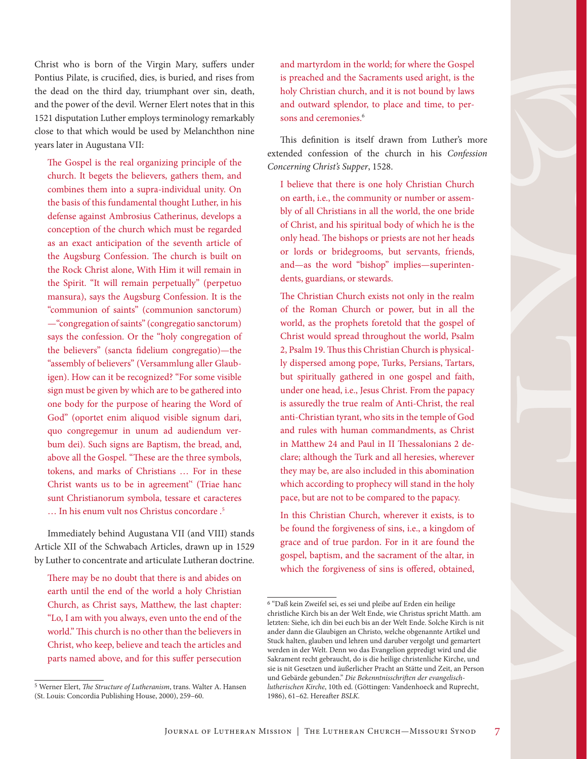Christ who is born of the Virgin Mary, suffers under Pontius Pilate, is crucified, dies, is buried, and rises from the dead on the third day, triumphant over sin, death, and the power of the devil. Werner Elert notes that in this 1521 disputation Luther employs terminology remarkably close to that which would be used by Melanchthon nine years later in Augustana VII:

The Gospel is the real organizing principle of the church. It begets the believers, gathers them, and combines them into a supra-individual unity. On the basis of this fundamental thought Luther, in his defense against Ambrosius Catherinus, develops a conception of the church which must be regarded as an exact anticipation of the seventh article of the Augsburg Confession. The church is built on the Rock Christ alone, With Him it will remain in the Spirit. "It will remain perpetually" (perpetuo mansura), says the Augsburg Confession. It is the "communion of saints" (communion sanctorum) —"congregation of saints" (congregatio sanctorum) says the confession. Or the "holy congregation of the believers" (sancta fidelium congregatio)—the "assembly of believers" (Versammlung aller Glaubigen). How can it be recognized? "For some visible sign must be given by which are to be gathered into one body for the purpose of hearing the Word of God" (oportet enim aliquod visible signum dari, quo congregemur in unum ad audiendum verbum dei). Such signs are Baptism, the bread, and, above all the Gospel. "These are the three symbols, tokens, and marks of Christians … For in these Christ wants us to be in agreement'' (Triae hanc sunt Christianorum symbola, tessare et caracteres … In his enum vult nos Christus concordare .5

Immediately behind Augustana VII (and VIII) stands Article XII of the Schwabach Articles, drawn up in 1529 by Luther to concentrate and articulate Lutheran doctrine.

There may be no doubt that there is and abides on earth until the end of the world a holy Christian Church, as Christ says, Matthew, the last chapter: "Lo, I am with you always, even unto the end of the world." This church is no other than the believers in Christ, who keep, believe and teach the articles and parts named above, and for this suffer persecution

and martyrdom in the world; for where the Gospel is preached and the Sacraments used aright, is the holy Christian church, and it is not bound by laws and outward splendor, to place and time, to persons and ceremonies.<sup>6</sup>

This definition is itself drawn from Luther's more extended confession of the church in his *Confession Concerning Christ's Supper*, 1528.

I believe that there is one holy Christian Church on earth, i.e., the community or number or assembly of all Christians in all the world, the one bride of Christ, and his spiritual body of which he is the only head. The bishops or priests are not her heads or lords or bridegrooms, but servants, friends, and—as the word "bishop" implies—superintendents, guardians, or stewards.

The Christian Church exists not only in the realm of the Roman Church or power, but in all the world, as the prophets foretold that the gospel of Christ would spread throughout the world, Psalm 2, Psalm 19. Thus this Christian Church is physically dispersed among pope, Turks, Persians, Tartars, but spiritually gathered in one gospel and faith, under one head, i.e., Jesus Christ. From the papacy is assuredly the true realm of Anti-Christ, the real anti-Christian tyrant, who sits in the temple of God and rules with human commandments, as Christ in Matthew 24 and Paul in II Thessalonians 2 declare; although the Turk and all heresies, wherever they may be, are also included in this abomination which according to prophecy will stand in the holy pace, but are not to be compared to the papacy.

In this Christian Church, wherever it exists, is to be found the forgiveness of sins, i.e., a kingdom of grace and of true pardon. For in it are found the gospel, baptism, and the sacrament of the altar, in which the forgiveness of sins is offered, obtained,

<sup>5</sup> Werner Elert, *The Structure of Lutheranism*, trans. Walter A. Hansen (St. Louis: Concordia Publishing House, 2000), 259–60.

<sup>6 &</sup>quot;Daß kein Zweifel sei, es sei und pleibe auf Erden ein heilige christliche Kirch bis an der Welt Ende, wie Christus spricht Matth. am letzten: Siehe, ich din bei euch bis an der Welt Ende. Solche Kirch is nit ander dann die Glaubigen an Christo, welche obgenannte Artikel und Stuck halten, glauben und lehren und daruber vergolgt und gemartert werden in der Welt. Denn wo das Evangelion gepredigt wird und die Sakrament recht gebraucht, do is die heilige christenliche Kirche, und sie is nit Gesetzen und äußerlicher Pracht an Stätte und Zeit, an Person und Gebärde gebunden." *Die Bekenntnisschriften der evangelischlutherischen Kirche*, 10th ed. (Göttingen: Vandenhoeck and Ruprecht, 1986), 61–62. Hereafter *BSLK.*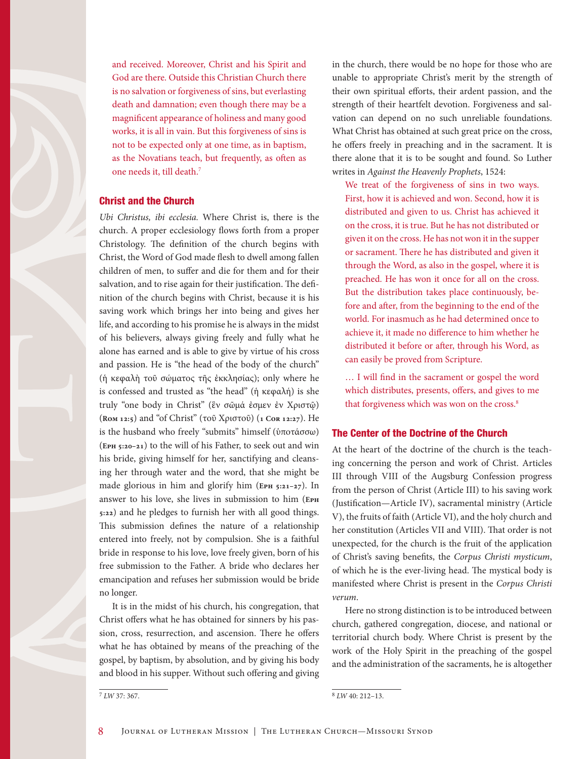and received. Moreover, Christ and his Spirit and God are there. Outside this Christian Church there is no salvation or forgiveness of sins, but everlasting death and damnation; even though there may be a magnificent appearance of holiness and many good works, it is all in vain. But this forgiveness of sins is not to be expected only at one time, as in baptism, as the Novatians teach, but frequently, as often as one needs it, till death.7

#### Christ and the Church

*Ubi Christus, ibi ecclesia.* Where Christ is, there is the church. A proper ecclesiology flows forth from a proper Christology. The definition of the church begins with Christ, the Word of God made flesh to dwell among fallen children of men, to suffer and die for them and for their salvation, and to rise again for their justification. The definition of the church begins with Christ, because it is his saving work which brings her into being and gives her life, and according to his promise he is always in the midst of his believers, always giving freely and fully what he alone has earned and is able to give by virtue of his cross and passion. He is "the head of the body of the church" (ἡ κεφαλὴ τοῦ σώματος τῆς ἐκκλησίας); only where he is confessed and trusted as "the head" (ἡ κεφαλή) is she truly "one body in Christ" (ἓν σῶμά ἐσμεν ἐν Χριστῷ) (**Rom 12:5**) and "of Christ" (τοῦ Χριστοῦ) (**1 Cor 12:27**). He is the husband who freely "submits" himself (ὑποτάσσω) (**Eph 5:20–21**) to the will of his Father, to seek out and win his bride, giving himself for her, sanctifying and cleansing her through water and the word, that she might be made glorious in him and glorify him (**Eph 5:21–27**). In answer to his love, she lives in submission to him (**Eph 5:22**) and he pledges to furnish her with all good things. This submission defines the nature of a relationship entered into freely, not by compulsion. She is a faithful bride in response to his love, love freely given, born of his free submission to the Father. A bride who declares her emancipation and refuses her submission would be bride no longer.

It is in the midst of his church, his congregation, that Christ offers what he has obtained for sinners by his passion, cross, resurrection, and ascension. There he offers what he has obtained by means of the preaching of the gospel, by baptism, by absolution, and by giving his body and blood in his supper. Without such offering and giving in the church, there would be no hope for those who are unable to appropriate Christ's merit by the strength of their own spiritual efforts, their ardent passion, and the strength of their heartfelt devotion. Forgiveness and salvation can depend on no such unreliable foundations. What Christ has obtained at such great price on the cross, he offers freely in preaching and in the sacrament. It is there alone that it is to be sought and found. So Luther writes in *Against the Heavenly Prophets*, 1524:

We treat of the forgiveness of sins in two ways. First, how it is achieved and won. Second, how it is distributed and given to us. Christ has achieved it on the cross, it is true. But he has not distributed or given it on the cross. He has not won it in the supper or sacrament. There he has distributed and given it through the Word, as also in the gospel, where it is preached. He has won it once for all on the cross. But the distribution takes place continuously, before and after, from the beginning to the end of the world. For inasmuch as he had determined once to achieve it, it made no difference to him whether he distributed it before or after, through his Word, as can easily be proved from Scripture.

… I will find in the sacrament or gospel the word which distributes, presents, offers, and gives to me that forgiveness which was won on the cross.<sup>8</sup>

#### The Center of the Doctrine of the Church

At the heart of the doctrine of the church is the teaching concerning the person and work of Christ. Articles III through VIII of the Augsburg Confession progress from the person of Christ (Article III) to his saving work (Justification—Article IV), sacramental ministry (Article V), the fruits of faith (Article VI), and the holy church and her constitution (Articles VII and VIII). That order is not unexpected, for the church is the fruit of the application of Christ's saving benefits, the *Corpus Christi mysticum*, of which he is the ever-living head. The mystical body is manifested where Christ is present in the *Corpus Christi verum*.

Here no strong distinction is to be introduced between church, gathered congregation, diocese, and national or territorial church body. Where Christ is present by the work of the Holy Spirit in the preaching of the gospel and the administration of the sacraments, he is altogether

<sup>7</sup> *LW* 37: 367.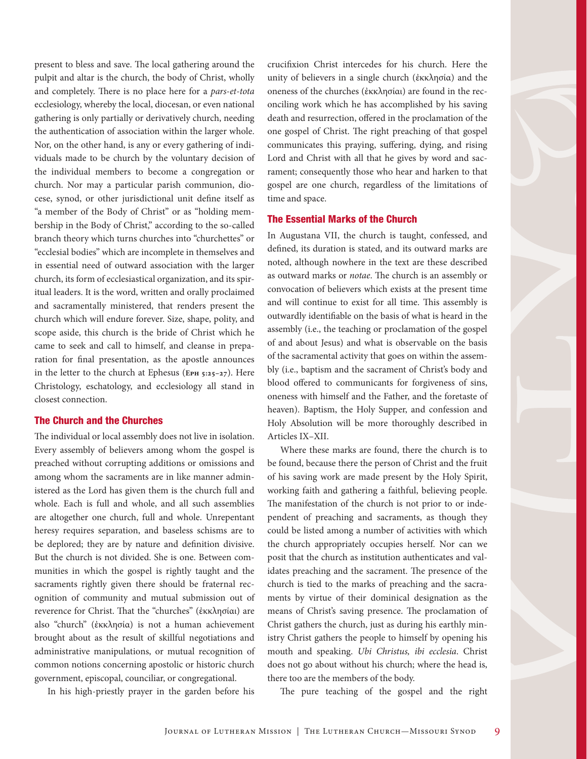present to bless and save. The local gathering around the pulpit and altar is the church, the body of Christ, wholly and completely. There is no place here for a *pars-et-tota*  ecclesiology, whereby the local, diocesan, or even national gathering is only partially or derivatively church, needing the authentication of association within the larger whole. Nor, on the other hand, is any or every gathering of individuals made to be church by the voluntary decision of the individual members to become a congregation or church. Nor may a particular parish communion, diocese, synod, or other jurisdictional unit define itself as "a member of the Body of Christ" or as "holding membership in the Body of Christ," according to the so-called branch theory which turns churches into "churchettes" or "ecclesial bodies" which are incomplete in themselves and in essential need of outward association with the larger church, its form of ecclesiastical organization, and its spiritual leaders. It is the word, written and orally proclaimed and sacramentally ministered, that renders present the church which will endure forever. Size, shape, polity, and scope aside, this church is the bride of Christ which he came to seek and call to himself, and cleanse in preparation for final presentation, as the apostle announces in the letter to the church at Ephesus (**Eph 5:25–27**). Here Christology, eschatology, and ecclesiology all stand in closest connection.

#### The Church and the Churches

The individual or local assembly does not live in isolation. Every assembly of believers among whom the gospel is preached without corrupting additions or omissions and among whom the sacraments are in like manner administered as the Lord has given them is the church full and whole. Each is full and whole, and all such assemblies are altogether one church, full and whole. Unrepentant heresy requires separation, and baseless schisms are to be deplored; they are by nature and definition divisive. But the church is not divided. She is one. Between communities in which the gospel is rightly taught and the sacraments rightly given there should be fraternal recognition of community and mutual submission out of reverence for Christ. That the "churches" (ἐκκλησίαι) are also "church" (ἐκκλησία) is not a human achievement brought about as the result of skillful negotiations and administrative manipulations, or mutual recognition of common notions concerning apostolic or historic church government, episcopal, counciliar, or congregational.

In his high-priestly prayer in the garden before his

crucifixion Christ intercedes for his church. Here the unity of believers in a single church (ἐκκλησία) and the oneness of the churches (ἐκκλησίαι) are found in the reconciling work which he has accomplished by his saving death and resurrection, offered in the proclamation of the one gospel of Christ. The right preaching of that gospel communicates this praying, suffering, dying, and rising Lord and Christ with all that he gives by word and sacrament; consequently those who hear and harken to that gospel are one church, regardless of the limitations of time and space.

#### The Essential Marks of the Church

In Augustana VII, the church is taught, confessed, and defined, its duration is stated, and its outward marks are noted, although nowhere in the text are these described as outward marks or *notae*. The church is an assembly or convocation of believers which exists at the present time and will continue to exist for all time. This assembly is outwardly identifiable on the basis of what is heard in the assembly (i.e., the teaching or proclamation of the gospel of and about Jesus) and what is observable on the basis of the sacramental activity that goes on within the assembly (i.e., baptism and the sacrament of Christ's body and blood offered to communicants for forgiveness of sins, oneness with himself and the Father, and the foretaste of heaven). Baptism, the Holy Supper, and confession and Holy Absolution will be more thoroughly described in Articles IX–XII.

Where these marks are found, there the church is to be found, because there the person of Christ and the fruit of his saving work are made present by the Holy Spirit, working faith and gathering a faithful, believing people. The manifestation of the church is not prior to or independent of preaching and sacraments, as though they could be listed among a number of activities with which the church appropriately occupies herself. Nor can we posit that the church as institution authenticates and validates preaching and the sacrament. The presence of the church is tied to the marks of preaching and the sacraments by virtue of their dominical designation as the means of Christ's saving presence. The proclamation of Christ gathers the church, just as during his earthly ministry Christ gathers the people to himself by opening his mouth and speaking. *Ubi Christus, ibi ecclesia*. Christ does not go about without his church; where the head is, there too are the members of the body.

The pure teaching of the gospel and the right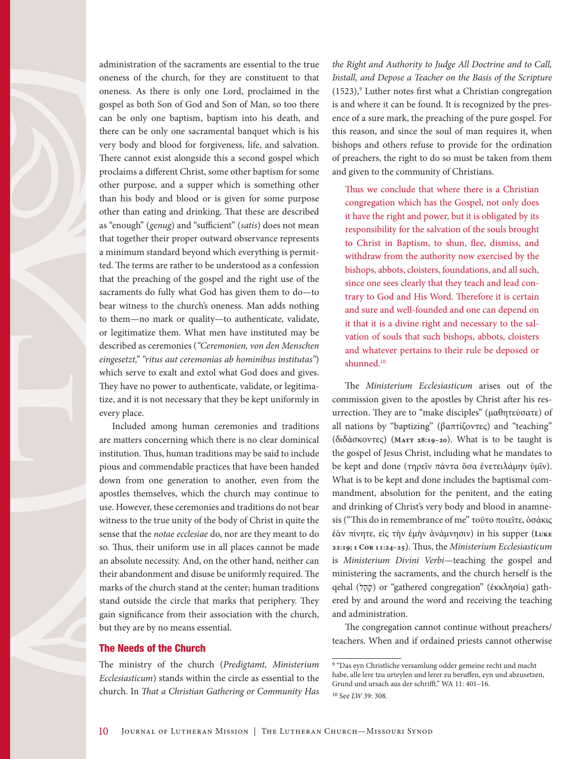administration of the sacraments are essential to the true oneness of the church, for they are constituent to that oneness. As there is only one Lord, proclaimed in the gospel as both Son of God and Son of Man, so too there can be only one baptism, baptism into his death, and there can be only one sacramental banquet which is his very body and blood for forgiveness, life, and salvation. There cannot exist alongside this a second gospel which proclaims a different Christ, some other baptism for some other purpose, and a supper which is something other than his body and blood or is given for some purpose other than eating and drinking. That these are described as "enough" (*genug*) and "sufficient" (*satis*) does not mean that together their proper outward observance represents a minimum standard beyond which everything is permitted. The terms are rather to be understood as a confession that the preaching of the gospel and the right use of the sacraments do fully what God has given them to do—to bear witness to the church's oneness. Man adds nothing to them—no mark or quality—to authenticate, validate, or legitimatize them. What men have instituted may be described as ceremonies (*"Ceremonien, von den Menschen eingesetzt," "ritus aut ceremonias ab hominibus institutas"*) which serve to exalt and extol what God does and gives. They have no power to authenticate, validate, or legitimatize, and it is not necessary that they be kept uniformly in every place.

Included among human ceremonies and traditions are matters concerning which there is no clear dominical institution. Thus, human traditions may be said to include pious and commendable practices that have been handed down from one generation to another, even from the apostles themselves, which the church may continue to use. However, these ceremonies and traditions do not bear witness to the true unity of the body of Christ in quite the sense that the *notae ecclesiae* do, nor are they meant to do so. Thus, their uniform use in all places cannot be made an absolute necessity. And, on the other hand, neither can their abandonment and disuse be uniformly required. The marks of the church stand at the center; human traditions stand outside the circle that marks that periphery. They gain significance from their association with the church, but they are by no means essential.

#### The Needs of the Church

The ministry of the church (*Predigtamt, Ministerium Ecclesiasticum*) stands within the circle as essential to the church. In *That a Christian Gathering or Community Has*  *the Right and Authority to Judge All Doctrine and to Call, Install, and Depose a Teacher on the Basis of the Scripture*  (1523),<sup>9</sup> Luther notes first what a Christian congregation is and where it can be found. It is recognized by the presence of a sure mark, the preaching of the pure gospel. For this reason, and since the soul of man requires it, when bishops and others refuse to provide for the ordination of preachers, the right to do so must be taken from them and given to the community of Christians.

Thus we conclude that where there is a Christian congregation which has the Gospel, not only does it have the right and power, but it is obligated by its responsibility for the salvation of the souls brought to Christ in Baptism, to shun, flee, dismiss, and withdraw from the authority now exercised by the bishops, abbots, cloisters, foundations, and all such, since one sees clearly that they teach and lead contrary to God and His Word. Therefore it is certain and sure and well-founded and one can depend on it that it is a divine right and necessary to the salvation of souls that such bishops, abbots, cloisters and whatever pertains to their rule be deposed or shunned.10

The *Ministerium Ecclesiasticum* arises out of the commission given to the apostles by Christ after his resurrection. They are to "make disciples" (μαθητεύσατε) of all nations by "baptizing" (βαπτίζοντες) and "teaching" (διδάσκοντες) (**Matt 28:19–20**). What is to be taught is the gospel of Jesus Christ, including what he mandates to be kept and done (τηρεῖν πάντα ὅσα ἐνετειλάμην ὑμῖν). What is to be kept and done includes the baptismal commandment, absolution for the penitent, and the eating and drinking of Christ's very body and blood in anamnesis ("This do in remembrance of me" τοῦτο ποιεῖτε, ὁσάκις ἐὰν πίνητε, εἰς τὴν ἐμὴν ἀνάμνησιν) in his supper (**Luke 22:19; 1 Cor 11:24–25**). Thus, the *Ministerium Ecclesiasticum* is *Ministerium Divini Verbi*—teaching the gospel and ministering the sacraments, and the church herself is the qehal (לָהָק (or "gathered congregation" (ἐκκλησία) gathered by and around the word and receiving the teaching and administration.

The congregation cannot continue without preachers/ teachers. When and if ordained priests cannot otherwise

<sup>9 &</sup>quot;Das eyn Christliche versamlung odder gemeine recht und macht habe, alle lere tzu urteylen und lerer zu beruffen, eyn und abzusetzen, Grund und ursach aus der schrifft." WA 11: 401–16. 10 See *LW* 39: 308.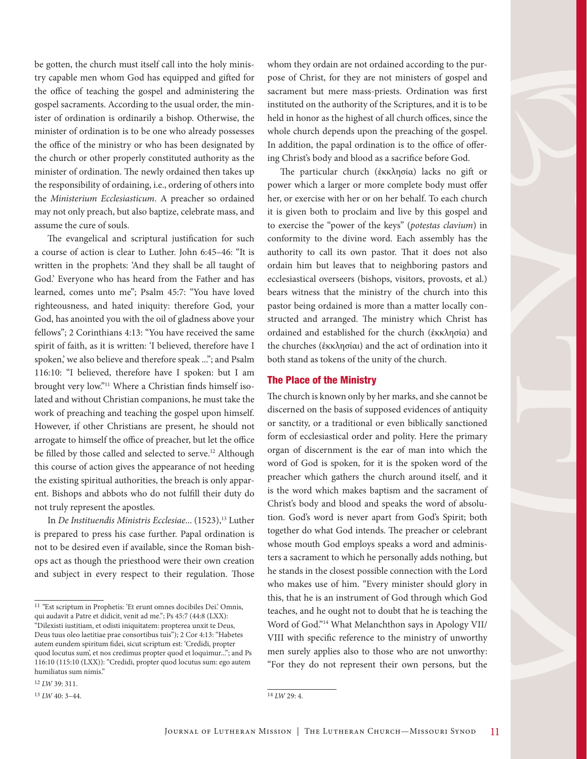be gotten, the church must itself call into the holy ministry capable men whom God has equipped and gifted for the office of teaching the gospel and administering the gospel sacraments. According to the usual order, the minister of ordination is ordinarily a bishop. Otherwise, the minister of ordination is to be one who already possesses the office of the ministry or who has been designated by the church or other properly constituted authority as the minister of ordination. The newly ordained then takes up the responsibility of ordaining, i.e., ordering of others into the *Ministerium Ecclesiasticum*. A preacher so ordained may not only preach, but also baptize, celebrate mass, and assume the cure of souls.

The evangelical and scriptural justification for such a course of action is clear to Luther. John 6:45–46: "It is written in the prophets: 'And they shall be all taught of God.' Everyone who has heard from the Father and has learned, comes unto me"; Psalm 45:7: "You have loved righteousness, and hated iniquity: therefore God, your God, has anointed you with the oil of gladness above your fellows"; 2 Corinthians 4:13: "You have received the same spirit of faith, as it is written: 'I believed, therefore have I spoken,' we also believe and therefore speak ..."; and Psalm 116:10: "I believed, therefore have I spoken: but I am brought very low."11 Where a Christian finds himself isolated and without Christian companions, he must take the work of preaching and teaching the gospel upon himself. However, if other Christians are present, he should not arrogate to himself the office of preacher, but let the office be filled by those called and selected to serve.<sup>12</sup> Although this course of action gives the appearance of not heeding the existing spiritual authorities, the breach is only apparent. Bishops and abbots who do not fulfill their duty do not truly represent the apostles.

In *De Instituendis Ministris Ecclesiae...* (1523),<sup>13</sup> Luther is prepared to press his case further. Papal ordination is not to be desired even if available, since the Roman bishops act as though the priesthood were their own creation and subject in every respect to their regulation. Those

12 *LW* 39: 311.

13 *LW* 40: 3–44.

whom they ordain are not ordained according to the purpose of Christ, for they are not ministers of gospel and sacrament but mere mass-priests. Ordination was first instituted on the authority of the Scriptures, and it is to be held in honor as the highest of all church offices, since the whole church depends upon the preaching of the gospel. In addition, the papal ordination is to the office of offering Christ's body and blood as a sacrifice before God.

The particular church (ἐκκλησία) lacks no gift or power which a larger or more complete body must offer her, or exercise with her or on her behalf. To each church it is given both to proclaim and live by this gospel and to exercise the "power of the keys" (*potestas clavium*) in conformity to the divine word. Each assembly has the authority to call its own pastor. That it does not also ordain him but leaves that to neighboring pastors and ecclesiastical overseers (bishops, visitors, provosts, et al.) bears witness that the ministry of the church into this pastor being ordained is more than a matter locally constructed and arranged. The ministry which Christ has ordained and established for the church (ἐκκλησία) and the churches (ἐκκλησίαι) and the act of ordination into it both stand as tokens of the unity of the church.

#### The Place of the Ministry

The church is known only by her marks, and she cannot be discerned on the basis of supposed evidences of antiquity or sanctity, or a traditional or even biblically sanctioned form of ecclesiastical order and polity. Here the primary organ of discernment is the ear of man into which the word of God is spoken, for it is the spoken word of the preacher which gathers the church around itself, and it is the word which makes baptism and the sacrament of Christ's body and blood and speaks the word of absolution. God's word is never apart from God's Spirit; both together do what God intends. The preacher or celebrant whose mouth God employs speaks a word and administers a sacrament to which he personally adds nothing, but he stands in the closest possible connection with the Lord who makes use of him. "Every minister should glory in this, that he is an instrument of God through which God teaches, and he ought not to doubt that he is teaching the Word of God."<sup>14</sup> What Melanchthon says in Apology VII/ VIII with specific reference to the ministry of unworthy men surely applies also to those who are not unworthy: "For they do not represent their own persons, but the

14 *LW* 29: 4.

<sup>&</sup>lt;sup>11</sup> "Est scriptum in Prophetis: 'Et erunt omnes docibiles Dei.' Omnis, qui audavit a Patre et didicit, venit ad me."; Ps 45:7 (44:8 (LXX): "Dilexisti iustitiam, et odisti iniquitatem: propterea unxit te Deus, Deus tuus oleo laetitiae prae consortibus tuis"); 2 Cor 4:13: "Habetes autem eundem spiritum fidei, sicut scriptum est: 'Credidi, propter quod locutus sum', et nos credimus propter quod et loquimur..."; and Ps 116:10 (115:10 (LXX)): "Credidi, propter quod locutus sum: ego autem humiliatus sum nimis."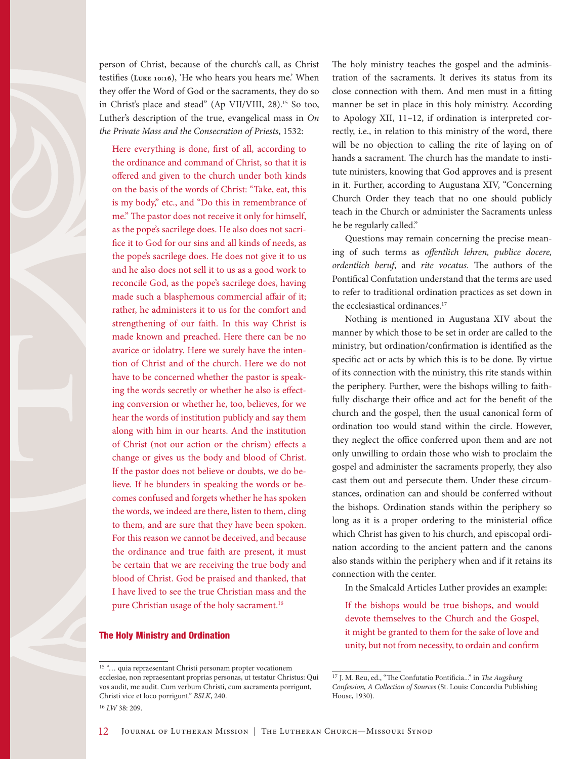

person of Christ, because of the church's call, as Christ testifies (**Luke 10:16**), 'He who hears you hears me.' When they offer the Word of God or the sacraments, they do so in Christ's place and stead" (Ap VII/VIII, 28).15 So too, Luther's description of the true, evangelical mass in *On the Private Mass and the Consecration of Priests*, 1532:

Here everything is done, first of all, according to the ordinance and command of Christ, so that it is offered and given to the church under both kinds on the basis of the words of Christ: "Take, eat, this is my body," etc., and "Do this in remembrance of me." The pastor does not receive it only for himself, as the pope's sacrilege does. He also does not sacrifice it to God for our sins and all kinds of needs, as the pope's sacrilege does. He does not give it to us and he also does not sell it to us as a good work to reconcile God, as the pope's sacrilege does, having made such a blasphemous commercial affair of it; rather, he administers it to us for the comfort and strengthening of our faith. In this way Christ is made known and preached. Here there can be no avarice or idolatry. Here we surely have the intention of Christ and of the church. Here we do not have to be concerned whether the pastor is speaking the words secretly or whether he also is effecting conversion or whether he, too, believes, for we hear the words of institution publicly and say them along with him in our hearts. And the institution of Christ (not our action or the chrism) effects a change or gives us the body and blood of Christ. If the pastor does not believe or doubts, we do believe. If he blunders in speaking the words or becomes confused and forgets whether he has spoken the words, we indeed are there, listen to them, cling to them, and are sure that they have been spoken. For this reason we cannot be deceived, and because the ordinance and true faith are present, it must be certain that we are receiving the true body and blood of Christ. God be praised and thanked, that I have lived to see the true Christian mass and the pure Christian usage of the holy sacrament.<sup>16</sup>

#### The Holy Ministry and Ordination

The holy ministry teaches the gospel and the administration of the sacraments. It derives its status from its close connection with them. And men must in a fitting manner be set in place in this holy ministry. According to Apology XII, 11–12, if ordination is interpreted correctly, i.e., in relation to this ministry of the word, there will be no objection to calling the rite of laying on of hands a sacrament. The church has the mandate to institute ministers, knowing that God approves and is present in it. Further, according to Augustana XIV, "Concerning Church Order they teach that no one should publicly teach in the Church or administer the Sacraments unless he be regularly called."

Questions may remain concerning the precise meaning of such terms as *offentlich lehren, publice docere, ordentlich beruf*, and *rite vocatus.* The authors of the Pontifical Confutation understand that the terms are used to refer to traditional ordination practices as set down in the ecclesiastical ordinances.<sup>17</sup>

Nothing is mentioned in Augustana XIV about the manner by which those to be set in order are called to the ministry, but ordination/confirmation is identified as the specific act or acts by which this is to be done. By virtue of its connection with the ministry, this rite stands within the periphery. Further, were the bishops willing to faithfully discharge their office and act for the benefit of the church and the gospel, then the usual canonical form of ordination too would stand within the circle. However, they neglect the office conferred upon them and are not only unwilling to ordain those who wish to proclaim the gospel and administer the sacraments properly, they also cast them out and persecute them. Under these circumstances, ordination can and should be conferred without the bishops. Ordination stands within the periphery so long as it is a proper ordering to the ministerial office which Christ has given to his church, and episcopal ordination according to the ancient pattern and the canons also stands within the periphery when and if it retains its connection with the center.

In the Smalcald Articles Luther provides an example:

If the bishops would be true bishops, and would devote themselves to the Church and the Gospel, it might be granted to them for the sake of love and unity, but not from necessity, to ordain and confirm

<sup>15 &</sup>quot;… quia repraesentant Christi personam propter vocationem ecclesiae, non repraesentant proprias personas, ut testatur Christus: Qui vos audit, me audit. Cum verbum Christi, cum sacramenta porrigunt, Christi vice et loco porrigunt." *BSLK*, 240. 16 *LW* 38: 209.

<sup>17</sup> J. M. Reu, ed., "The Confutatio Pontificia..." in *The Augsburg Confession, A Collection of Sources* (St. Louis: Concordia Publishing House, 1930).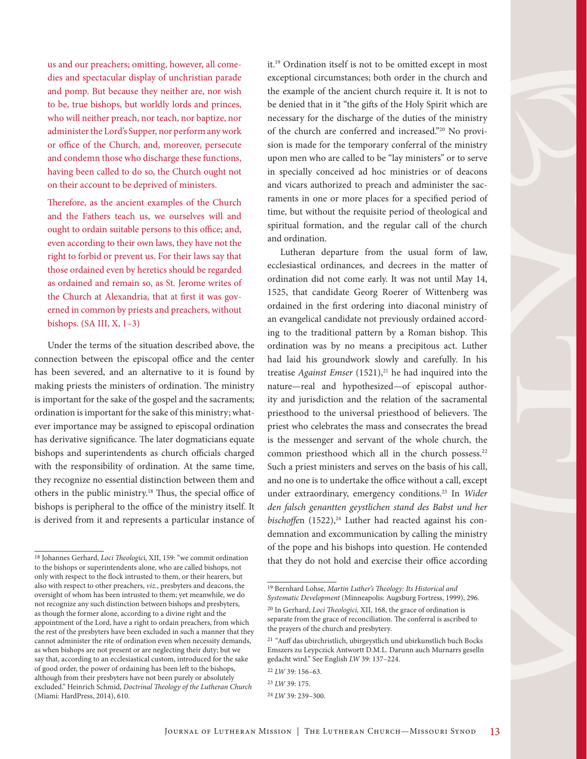us and our preachers; omitting, however, all comedies and spectacular display of unchristian parade and pomp. But because they neither are, nor wish to be, true bishops, but worldly lords and princes, who will neither preach, nor teach, nor baptize, nor administer the Lord's Supper, nor perform any work or office of the Church, and, moreover, persecute and condemn those who discharge these functions, having been called to do so, the Church ought not on their account to be deprived of ministers.

Therefore, as the ancient examples of the Church and the Fathers teach us, we ourselves will and ought to ordain suitable persons to this office; and, even according to their own laws, they have not the right to forbid or prevent us. For their laws say that those ordained even by heretics should be regarded as ordained and remain so, as St. Jerome writes of the Church at Alexandria, that at first it was governed in common by priests and preachers, without bishops. (SA III, X, 1–3)

Under the terms of the situation described above, the connection between the episcopal office and the center has been severed, and an alternative to it is found by making priests the ministers of ordination. The ministry is important for the sake of the gospel and the sacraments; ordination is important for the sake of this ministry; whatever importance may be assigned to episcopal ordination has derivative significance. The later dogmaticians equate bishops and superintendents as church officials charged with the responsibility of ordination. At the same time, they recognize no essential distinction between them and others in the public ministry.18 Thus, the special office of bishops is peripheral to the office of the ministry itself. It is derived from it and represents a particular instance of it.19 Ordination itself is not to be omitted except in most exceptional circumstances; both order in the church and the example of the ancient church require it. It is not to be denied that in it "the gifts of the Holy Spirit which are necessary for the discharge of the duties of the ministry of the church are conferred and increased."20 No provision is made for the temporary conferral of the ministry upon men who are called to be "lay ministers" or to serve in specially conceived ad hoc ministries or of deacons and vicars authorized to preach and administer the sacraments in one or more places for a specified period of time, but without the requisite period of theological and spiritual formation, and the regular call of the church and ordination.

Lutheran departure from the usual form of law, ecclesiastical ordinances, and decrees in the matter of ordination did not come early. It was not until May 14, 1525, that candidate Georg Roerer of Wittenberg was ordained in the first ordering into diaconal ministry of an evangelical candidate not previously ordained according to the traditional pattern by a Roman bishop. This ordination was by no means a precipitous act. Luther had laid his groundwork slowly and carefully. In his treatise *Against Emser* (1521),<sup>21</sup> he had inquired into the nature—real and hypothesized—of episcopal authority and jurisdiction and the relation of the sacramental priesthood to the universal priesthood of believers. The priest who celebrates the mass and consecrates the bread is the messenger and servant of the whole church, the common priesthood which all in the church possess.<sup>22</sup> Such a priest ministers and serves on the basis of his call, and no one is to undertake the office without a call, except under extraordinary, emergency conditions.23 In *Wider den falsch genantten geystlichen stand des Babst und her bischoffen* (1522),<sup>24</sup> Luther had reacted against his condemnation and excommunication by calling the ministry of the pope and his bishops into question. He contended that they do not hold and exercise their office according

<sup>18</sup> Johannes Gerhard, *Loci Theologic*i, XII, 159: "we commit ordination to the bishops or superintendents alone, who are called bishops, not only with respect to the flock intrusted to them, or their hearers, but also with respect to other preachers, *viz.*, presbyters and deacons, the oversight of whom has been intrusted to them; yet meanwhile, we do not recognize any such distinction between bishops and presbyters, as though the former alone, according to a divine right and the appointment of the Lord, have a right to ordain preachers, from which the rest of the presbyters have been excluded in such a manner that they cannot administer the rite of ordination even when necessity demands, as when bishops are not present or are neglecting their duty; but we say that, according to an ecclesiastical custom, introduced for the sake of good order, the power of ordaining has been left to the bishops, although from their presbyters have not been purely or absolutely excluded." Heinrich Schmid, *Doctrinal Theology of the Lutheran Church* (Miami: HardPress, 2014), 610.

<sup>19</sup> Bernhard Lohse, *Martin Luther's Theology: Its Historical and Systematic Development* (Minneapolis: Augsburg Fortress, 1999), 296.

<sup>20</sup> In Gerhard, *Loci Theologici,* XII, 168, the grace of ordination is separate from the grace of reconciliation. The conferral is ascribed to the prayers of the church and presbytery.

<sup>21</sup> *"*Auff das ubirchristlich, ubirgeystlich und ubirkunstlich buch Bocks Emszers zu Leypczick Antwortt D.M.L. Darunn auch Murnarrs geselln gedacht wird." See English *LW* 39: 137–224.

<sup>22</sup> *LW* 39: 156–63.

<sup>23</sup> *LW* 39: 175.

<sup>24</sup> *LW* 39: 239–300.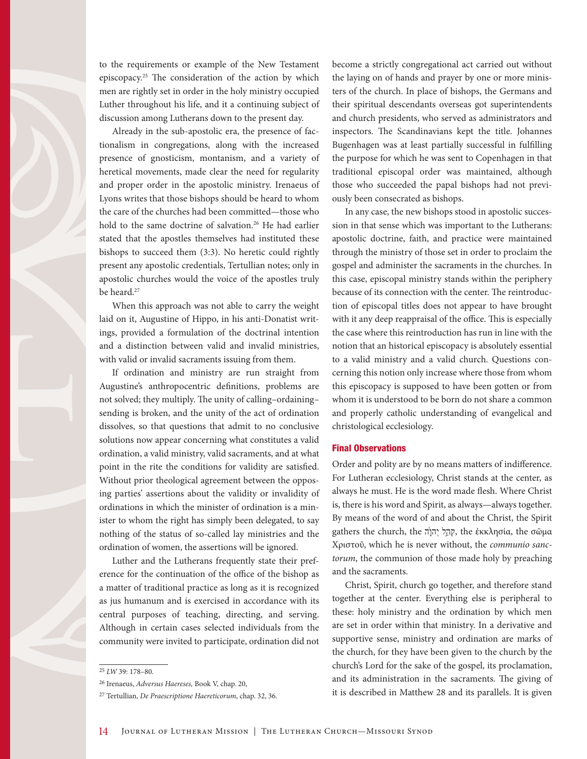to the requirements or example of the New Testament episcopacy.25 The consideration of the action by which men are rightly set in order in the holy ministry occupied Luther throughout his life, and it a continuing subject of discussion among Lutherans down to the present day.

Already in the sub-apostolic era, the presence of factionalism in congregations, along with the increased presence of gnosticism, montanism, and a variety of heretical movements, made clear the need for regularity and proper order in the apostolic ministry. Irenaeus of Lyons writes that those bishops should be heard to whom the care of the churches had been committed—those who hold to the same doctrine of salvation.<sup>26</sup> He had earlier stated that the apostles themselves had instituted these bishops to succeed them (3:3). No heretic could rightly present any apostolic credentials, Tertullian notes; only in apostolic churches would the voice of the apostles truly be heard.27

When this approach was not able to carry the weight laid on it, Augustine of Hippo, in his anti-Donatist writings, provided a formulation of the doctrinal intention and a distinction between valid and invalid ministries, with valid or invalid sacraments issuing from them.

If ordination and ministry are run straight from Augustine's anthropocentric definitions, problems are not solved; they multiply. The unity of calling–ordaining– sending is broken, and the unity of the act of ordination dissolves, so that questions that admit to no conclusive solutions now appear concerning what constitutes a valid ordination, a valid ministry, valid sacraments, and at what point in the rite the conditions for validity are satisfied. Without prior theological agreement between the opposing parties' assertions about the validity or invalidity of ordinations in which the minister of ordination is a minister to whom the right has simply been delegated, to say nothing of the status of so-called lay ministries and the ordination of women, the assertions will be ignored.

Luther and the Lutherans frequently state their preference for the continuation of the office of the bishop as a matter of traditional practice as long as it is recognized as jus humanum and is exercised in accordance with its central purposes of teaching, directing, and serving. Although in certain cases selected individuals from the community were invited to participate, ordination did not become a strictly congregational act carried out without the laying on of hands and prayer by one or more ministers of the church. In place of bishops, the Germans and their spiritual descendants overseas got superintendents and church presidents, who served as administrators and inspectors. The Scandinavians kept the title. Johannes Bugenhagen was at least partially successful in fulfilling the purpose for which he was sent to Copenhagen in that traditional episcopal order was maintained, although those who succeeded the papal bishops had not previously been consecrated as bishops.

In any case, the new bishops stood in apostolic succession in that sense which was important to the Lutherans: apostolic doctrine, faith, and practice were maintained through the ministry of those set in order to proclaim the gospel and administer the sacraments in the churches. In this case, episcopal ministry stands within the periphery because of its connection with the center. The reintroduction of episcopal titles does not appear to have brought with it any deep reappraisal of the office. This is especially the case where this reintroduction has run in line with the notion that an historical episcopacy is absolutely essential to a valid ministry and a valid church. Questions concerning this notion only increase where those from whom this episcopacy is supposed to have been gotten or from whom it is understood to be born do not share a common and properly catholic understanding of evangelical and christological ecclesiology.

#### Final Observations

Order and polity are by no means matters of indifference. For Lutheran ecclesiology, Christ stands at the center, as always he must. He is the word made flesh. Where Christ is, there is his word and Spirit, as always—always together. By means of the word of and about the Christ, the Spirit gathers the church, the *קְהָל* יְהוָ<sup>ׂ</sup>ה, the ἐκκλησία, the σῶμα Χριστοῦ, which he is never without, the *communio sanctorum*, the communion of those made holy by preaching and the sacraments.

Christ, Spirit, church go together, and therefore stand together at the center. Everything else is peripheral to these: holy ministry and the ordination by which men are set in order within that ministry. In a derivative and supportive sense, ministry and ordination are marks of the church, for they have been given to the church by the church's Lord for the sake of the gospel, its proclamation, and its administration in the sacraments. The giving of it is described in Matthew 28 and its parallels. It is given

<sup>25</sup> *LW* 39: 178–80.

<sup>26</sup> Irenaeus, *Adversus Haereses,* Book V, chap. 20,

<sup>27</sup> Tertullian, *De Praescriptione Haereticorum*, chap. 32, 36.